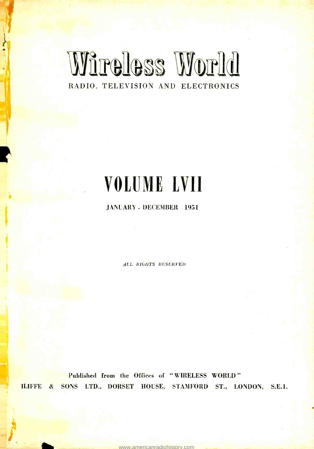## Wireless World RADIO, TELEVISION AND ELECTRONICS

# VOLUME LVII

## JANUARY - DECEMBER 1951

ALL RIGHTS RESERVED

Published from the Offices of "WIRELESS WORLD" ILIFFE & SONS LTD., DORSET HOUSE, STAMFORD ST., LONDON, S.E.1.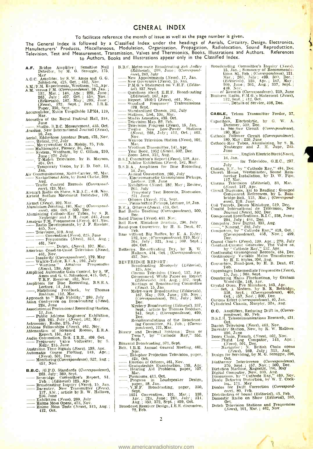## GENERAL INDEX

## To facilitate reference the month of issue as well as the page number is given.

The General Index is followed by a Classified Index under the headings of Aerials, Circuitry, Design, Electronics,<br>Manufacturers' Products, Miscellaneous, Modulation, Organization, Propagation, Radiolocation, Sound Reprodu

- **A.F.** Bridge Amplifier : Sensitive Null 1<br>Detector, by M. G. Scroggie, 175,
- 
- 
- A.G.C. Amplifier, by S. W. Amos and G. G.<br>
1. Johnstone, 415. Oct.; 452, Nov.<br>
A.M. (F.M. Experiments, Wrotham, 141. Apr.<br>
A.M. Versus F.M. (Correspondence). 39, Jan.; 22, Mar.; 146; Apr.; 220, June; 263, June; 263, July;
- 
- Mar. (1915)<br>
Marting of the Royal Festival Hall, 244,<br>
June<br>
June<br>
Studio. B.B.C. Measurement, 435, Oct.<br> *Acustica*, New International Journal (*News*),<br>
Aerial, Bddystone Amateur Beam, 475, Nov.<br>
Meircleure O.B. Mobile.
- 
- 
- 
- 
- 
- June ; 279 July<br>
T-Match Television, by B. Mayson, J. T.<br>
404, Oct.<br>
Temporary Vision, by F. D. Bolt, 13, J. J.<br>
Jan.
- Air Communications, Multi-Carrier. 92, Mar.<br>
Air Communications, Multi-Carrier. 92, Mar.<br>
Air Communications, Multi-Carrier. 92, Mar.<br>
Navigational Aids, by Basil Clarke, 329;<br>
The Control Records. (Corresonad.  $A$ ir Communications, Multi-Carrier, 92, Mar<br>
Air Communications, Multi-Carrier, 92, Mar<br>
Maygational Aids, by Basil Clarke, 329<br>
Traffic Control Records (Correspond-<br>
ence), 123, Mar.<br>
tineset, 131, Nar.
- 
- ence), 123, Mar.<br>
Aircraft Radio on Show, S.B.A.C., 448. Nov.<br>
Airfield Surface Movement Indicator, 170,<br>
May<br>
Marmet (News), 102. Mar.<br>
Aluminium Jointing, 181. May ; (Correspond-<br>
ence), 408. Oct. ; 500. Dec.<br>
Aluminium
- 
- Amateur F.M. Frequencies (News), 405, Nov. Radio Developments (News), 461, Nov. Radio Developments, by J. P. Hawker,  $\frac{465}{1000}$ , Nov. Radio Developments, by J. P. Hawker,  $\frac{465}{10000}$
- 
- 
- 
- Amintang Convention,  $\overline{X}$  Aug. 245, June  $\overline{X}$  Aug.  $\overline{Y}$  and  $\overline{Y}$  and  $\overline{Y}$  and  $\overline{Y}$  and  $\overline{Y}$  and  $\overline{Y}$  and  $\overline{Y}$  and  $\overline{Y}$  and  $\overline{Y}$  and  $\overline{Y}$  and  $\overline{Y}$  and  $\overline{Y}$  and  $\overline{Y$ 461, Nov. Dutch,  $(Nevx)$ , 102, Mar.<br>
American Coast-to-Coast Television (News), 19<br>
461, Nov.<br>
461, Nov.<br>
461, Nov.<br>
102, 1401, Nov.<br>
102, 1401, (Correspondence), 179, May<br>
102, Walkie-Talkie, R.C.A., 291, July<br>
2020, Walk
- 
- 
- 
- 
- 
- 
- Asian Conference on<br>
Asian Conference on<br>
224, June<br>
12, Jan.<br>
Public Address<br>
259, 265, July<br>
14, David Badius
- 
- 
- Public Address Engineers' Exhibition,<br>
259, 265, July ; (News), 182, May<br>
Astronomy, Radio, 275, July<br>
Athlone Fellowships (News), 462, Nov.<br>
Attenuation of Screened Rooms, E.R.A.<br>
Report, 151, Apr. , n. 000, 000, 000, 0
- Authlone Fellowships (News), 462, Nov.<br>Attenuation of Screened Rooms, E.R.A.<br>Report. 151, Apr.<br>Audio Convention. Brit. I.R.E., 409, Oct.<br>——Frequency Valve Voltmeter, by S.<br>Kelly, 215, June<br>Australian Time Signals (News), 1
- 
- 
- Australian Time Signals (News), 143, Apr.<br>Automatic Course Plotting, 143, Apr.;<br>Automatic Course Plotting, 143, Apr.;<br>Monitoring (Correspondence), 322, Aug. ;<br>457, Nov.
- $B.B.G.$   $/G.P.O.$  Standards (Correspondence), - 263, July; 369, Sept. Beveridge Committee's Report, Si,
- 
- **E.B.C.** (G.P.O. Standards (Correspondence),<br>
263, July : 869, Sept.<br>
 Beveridge Committee's Report, S1,<br>
Feb. ; (Editorial) 125, Apr.<br>
 Daventry, New Transmitter (News), 15, Jan.<br>
 Daventry, New Transmitter (News), 137 Froadcasting Inc.<br>
Proadcasting Inc.<br>
Daventry, New<br>
137, Apr.; articles<br>
236. June<br>
Exhibition (News<br>
Holme Moss Open<br>
Holme Moss Open<br>
Holme Moss Open Exhibition (News), 269, July - 269, July - 269, July - 269, July - 269, July - Holme Moss Opens, 473, Nov. Holme Moss Tests (News), 313, Aug. ; 412, Oct.
- 
- 
- 
- B.B.C. Metre-wave Broadcasting Sub Judice<br>(Editorial), 209, June ; (Correspond-B.B.C. Metre-wave Broadcasting Sub Judice (Editorial), 209, June ; (Correspond-<br>
ence), 263, July<br>
- New Appointments (News), 15, Jan.<br>
- New Governors (News), 15, Jan.<br>
- P.M.G.'s Statement on V.H.F. (Editor-<br>
ial), 337,
- 
- 
- 
- (Editorial). 167, Apr. (Report. 1950/1 (News), 461, Nov. [1]<br>Report. 1950/1 (News), 461, Nov. [1]<br>Report. 1950. [1] Report. 1950/1 (News), 461, News)<br>
Standard Frequency Transm<br>
378, Sept.<br>
Standardized Chassis, 261, July<br>
Stations, List, 104, Mar.<br>
Studio Acoustics, 435, Oct.<br>
Studio Acoustics 435, Oct.
- 
- 
- 
- Standardized Chassis, 261, July<br>
 Stations, List, 104, Mar.<br>
 Television Map, 82, Feb.<br>
 Television Progress (News), 15, Jan.<br>
 Twelve New Low-Power Stations<br>
(News), 268, July ; 412, Oct. ; 463,<br>
 Nov.<br>
Neuvoe Tele
- 
- 
- Mar.<br>Wrotham Transmitter, 141, Apr.<br>Year Book, 1952 (*News*), 502, Dec.<br>Zoom Lens, 312, Aug.
- 
- B.S.I. Committee's Report (News), 138, Apr.<br>
 Jubilee Exhibition (News), 182, May.<br>
B.S.R.A., Amplifiers for Disc Recording,<br>  $14$ , Jan.<br>
 Annual Convention, 260, July<br>
 Electromagnetic Gramophone Pickups,<br>
 Exhibitio
- 
- 
- 265, July<br>
Frequency Test Records, Discussion,<br>
231, June<br>
Officers (News), 374, Sept.<br>
Difference: Chern Fickings, Lecture, 18, Jan.<br>
B.V.A. Officers (News), 413, Oct.<br>
Bad Radio Teaching (Correspondence), 500,<br>
Baird Pla
- 
- 
- 
- 
- 
- Ball Race, Miniature Bearings, 296, July Band -pass Converters, by H. B. Dent, 67,
- Feb. Text Without Big Baffles, by K. A. Exley, 132, Apr. ; (Correspondence), 219, May ; 364, July ; 321, Aug. ; 369. Sept. ; (
- Batteries, Re-activating Dry, by R. W.<br>
Hallows, 434, Oct. ; (Correspondence).
- BEVERIDGE REPORT :<br>Broadcasting Monopoly (Editorial),
	- 125, Apr. Cinema Television (*News*), 137, Apr.  $\begin{array}{|l|} \hline \end{array}$
	- Covernment White Paper on Report<br>
	(Editorials, 301, Aug.; 337, Sept.<br>
	Meetings of Broadcasting Committee<br>
	(News), 15, Jan.<br>
	Metre-wave Broadcasting (Editorials),<br>
	Metre-wave Broadcasting (Editorials),<br>
	(Correspondence), 26

Sept. ; article by Thomas Roddam, | **1**<br>341, Sept. ; (*Correspondence*), 499, | 1

- Dec.<br>
Recommendations of the Broadcast-<br>
ing Committee, S1, Feb. ; (Corres-<br>
pondence), 121, Mar.<br>
Binary and Decimal Systems : Tens or<br>
Twos ?, by "Cathode Ray," 351.<br>
Sept.
- 
- 
- Binaural Broadcasting, 371, Sept.<br>Brit. I.R.E. Annual General Meeting, 461, P Nov.<br>
-, Eidophor Projection Television, paper, 1
- 
- 424, Oct. Election of Officers, 461, Nov. Graduateship Examination, 139, Apr. -, Hearing Aid Problems, paper, 107, Mar.
- 
- Mar.<br>
Premiums, 413, Oct.<br>
Premiums, 413, Oct.<br>
Progress in Loudspeaker Design,<br>
paper, 18, Jan.<br>
Progress in Loudspeaker Design,<br>
V.H.F. Broadcasting, paper, 350,
- 
- Sept. Convention, 101, Mar.; 138, App. ; 224, June ; 268, July ; 314, Aug. ; 350, 372, Sept. ; 409, Oct. Broadcast Receiver Design, I.E.E. discussion,  $72,$  Feb.
- 

<www.americanradiohistory.com>

- Broadcasting Committee's Inquiry (News),<br>15, Jan.; Summary of Recommendations, S1, Feb.; (Correspondence), 121,<br>1ar.;  $\frac{1}{2}$  263, July ; 499, 500, Dec.;<br>(*Editorials*), 125, Apr.; 167, May<br>209, June; 301, Aug.; 337, Se
	-
- 

- CABLE, Telcon Transmitter Feeder, 37,<br>
Jan.<br>
Capacitors, Electrolytic, by G. W. A.<br>
Dummer, 510, Dec.<br>
 in See-Saw Circuit (Correspondence),
- 
- 
- 180, May ; 220, June (Correspondence), 180, May ; 220, June (Correspondence), 180, May ; 220, June (Cathode -Ray Tubes, Aluminizing. by S. R. June (Cathode -Ray Tubes, Aluminizing. by S. R. June (Cathode -Ray Tubes, 245, J
	- , English Electric Steel (News),
- $\frac{16}{10}$ , Jan. for Television, G.E.C., 297,
- July Chokes, R.F., by " Cathode Ray," 494, Dec. Church House, Westminster, Sound Rein-
- 
- forcing Installation, by D. W. Pipe,<br>
117. Mar. (*Cattorial*), 83, Mar.<br>
Circuit Diagrams, Aid to Reading : Grouped<br>
Component References, by L. Bain-<br>
bridge-Beil, 115, Mar.; (*Correspond-*<br>
ence), 219. June<br>
component R
- 
- 

Constant-Current Generator, The Valve as,<br>by "Cathode Ray," 152, Apr.<br>Continental Gramophone Records, 484, Dec.<br>Continuously Variable Mains Transformer,<br>by H. E. Styles, 306, Aug.<br>Converters, Band-pass, by H. B. Dent, 67,

"Feb."<br>Copenhagen Intermediate Frequencies (*News*), 15, J<sub>an.</sub> ; 360, Sept.<br>Countering Mains Fluctuations, by Graham<br>Woodville, 148, Apr.

Copening Man.; 360. Sept.<br>
Countering Man.; 360. Sept.<br>
Countering Man.; 360. Sept.<br>
Countering Man.; 186. Apr.<br>
Crystal Oven. Pye Miniature, 163. Apr.<br>
Crystal Oven. Pye Miniature, 163. Apr.<br>
388. Sept.; (*Correspondence* 

**D.C.** Amplifiers, Reducing Drift in, (Corres-<br>
D.S.I.R. Telecommunications Research, 431,<br>
D.S.I.R. Telecommunications Research, 431,<br>
A.R. Port.

Danish Television (News), 463, Nov.<br>Daventry Station, New, by R. W. Hallows, 236, June

Danish Television (News), 463, Nov.<br>
Daventry Station, New, by R. W. Hallows,<br>
Decca Chain, French, (News), 462, Nov.<br>
— Flight Log Computer, 143, Apr. ;<br>
— Navigator : N. British Chain opens<br>
(News), 269, July ; 313, Aug.

Diathermy Interference (Correspondence),<br>
370, Sept. ; 457, Nov. ; 500, Dec.<br>
Dictation Machine, Magnetic, 196, May<br>
Digital Computor, New, 333, Ang.<br>
Dimensions. by "Cathode Ray,"469, Nov.<br>
Diode Detector Distortion, by W

Dutch Television Stations and Frequencies (News), 101, Mar. ; 462, Nov.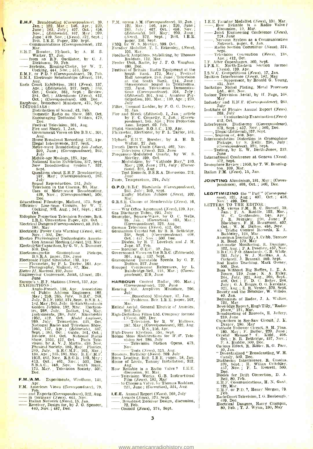- **E.H.F.** Broadcasting (Correspondence), 39,<br>
Jam.; 122, Mar.; 146, Apr.; 220,<br>
June; 263, July; 407, Oct.; 458,<br>
Nov.; (Editorials), 167, May; 209,<br>
June; 439, Nov.; (Kewas), 372, Sept.;<br>
Rrit. I.R.E. Paper, 350, Sept.;<br>
	- Mar.
- 
- Formulations (Correspondence), 122.<br>
E.M.T. Booster, Plyback, by A. H. B.<br>
Walker, 27, Jan.<br>
Thomas R.F. Oscillator, by C. J.<br>
Walker, 27, Jan.<br>
Thomas R.F. Oscillator, by C. J.<br>
Dickinson, 70, Feb.<br>
Cocking, 444, Nov.; 51
- 
- 
- Aug.<br>
Rarls Court Exhibition, 1951 (News), 137,<br>
Apr.; (Editorials), 337, Sept.; 883,<br>
Oct.; Guide, 361, Sept.; Review,<br>
384, Oct.; Attendance (News). 412,<br>
Oct.; (Correspondence). 499, Dec.<br>
Earphoue, Bonochord Miniature,
	-
	- Domestic Radio on Show. 383, Oct. Encouraging Technical Writers, 479, Dec.
	-
	- Festival Television, 301, Aug.<br>Fire and Shock, 1, Jan. .<br>Government Views on the B.B.C., 301,
	- Aug.<br>
	Home Broadcast Recording, 125, Apr.<br>
	Illegal Interference, 337, Sept.<br>
	Metre-wave Broadcasting Sub Judice,<br>
	200, June; (Correspondence), 263,<br>
	July
	-
	-
	-
	- 2008, June ; (Musings, 125, Apr. Middle -age Musings, 125, Apr. New Broadcasting System ?, 337, Sept.  $\frac{1}{2}$
	- Questions about E.H.F. Broadcasting, 167. May; (Correspondence), 263.<br>July
	-
	-
	- July Sound Reproduction, 251, July Television in the Cinema, 83, Mar. Uses of Meter-wave Broadcasting.<br>
	Uses of Meter-wave Broadcasting.<br>
	139, Nov.: (Correspondence), 500, Dec.
- 439, Nov. ; (Correspondence), 500,<br>
Bducational Filmstrips, Mullard, 375, Sept.<br>
Efficiency Line-Scan Circuits. by W. T.<br>
Efficiency Line-Scan Circuits. by W. T. T.
- 
- Oct.<br>
Eidophor Projection Television System, Brit. (I.R.E. Convention Paper, 424. Oct.
- Electrical Dangers (Correspondence), 80, Feb. ; 180, May Electricity Power Cuts Warning (News), 462,
- 
- Nov. 502, Dee.<br>
Electro Physiological Technologists Associa-<br>
tion Annual Meeting (News), 183. May<br>
Electrolytic Capacitors, by G. W. A. Dummer,<br>
510, Dec.<br>
B.S.R.A. paper, 238, June<br>
B.S.R.A. paper, 238, June
- 
- 
- Electronic Flight Simulator, 130, Apr.<br>
Fluxmeter, by P. L. Taylor, 161. Apr.<br> *Elettra II,* Marconi, 232, June<br>
Engineering Conference, Joint, (News), 224,
- 
- June<br>Europe's V.H.F. Stations (News), 137, Apr.<br>EXHIBITIONS : Europe's **V.H.F. Stations (News), 137, Apr.** EXHIBITIONS :<br>EXHIBITIONS : Anglo-French, 138, Apr. Association 1
	- of Public Address Engineers, 182,<br>May; 259, 265, July. B.B.C., 269,<br>July. B.I.F. 1952, 374, Sept. B.S.R.A., 182.May; 265, July. British Standards<br>Golden Jublie, 182, May. Electron-<br>Itis, 288, July. British International As 1952, 412. Oct. Model Lugineer,<br>269. July; Telearchies. 433, Oct.<br>National Radio and Telewision Show,<br>National Radio and Telewision Show,<br>5ept.; 383. Oct.; Guidenical, Oct.; Fig. 1974.<br>Sept.; 383. Oct.; Guide. 361. Oct.;
- F.M. /A.M. Experiments, Wrotham, 141, Apr. F.M. American Views (Correspondence), 79. F.M./A.M. Experiments, Wrotham, 141,<br>F.M. Annerican Views (Correspondence), 79,<br>The strategy (Correspondence), 322, Aug.<br>in Germany (News), 463, Nov.<br>Italian Network (News), 15, Jan.<br>Receiver, Design for, by J. G. Spencer,
- 
- 
- -
- FM. versus A.M. (Correspondence), 39, Jan. ; 122, Mar. ; 146, Apr. ; 220, June ; 263, July  $\begin{bmatrix} 407 \\ 604 \text{t} \text{v} \end{bmatrix}$ , 1977, May; 209, June (*Networds*), 167, May; 209, June (*News*), 372, Sept. ; Brit. I.R.E.<br>
paper. 350, Sept. ; Brit. I.R.E.<br> **PMQ**, by W. S. Mortley, 399, Oct.<br> **FMQ,** by W. S
- 
- 
- 
- **Festival of Britain** : Radio Equipment at the South Bank. 173, May ; Pestival II.<br>Hall Acousties. 244. June ; Television II.<br>Hall Acousties. 244. June ; Television II.<br>Stereophonic Sound in Telekinema,<br>223, June, Telekin ticipation, 101, Mar. ; 139, Apr. ; 270,<br>July July Filter, Unusual Ladder, by F. G. G. Davey.
- 
- 31, Jan. (1997)<br>
Fire and Shock (*Editorial*), 1, Jan.; article<br>
by F. C. Connelly, 2, Jan.; (*Correspondence*), 145, Apr.; Fire Protection<br>
1888. Report. 69. Feb.<br>
Flight Simulator, B.O.A.C. 130, Apr.<br>
Flight Simulator, B
- 
- 
- 
- 
- Flyback E.H.T. Booster, by A. H. B.<br>Flyback E.H.T. Booster, by A. H. B.<br>French Decca Chain (News), 462, Nov.<br>Tequency-Modulated Quartz, by W. S.<br>Frequency-Modulated Quartz, by W. S.<br>Mortley, 399, Oct.<br>Modulation, by "Catho
- 
- Fuses, Temperature, 294, July
- **G.P.O.**/B.B.C. Standards  $(Correspondence)$ , 263, July; 369, Sept.<br>  $-\text{Rugby Station}$  Jubilee (*News*), 102,
- Mar. Mar. 6. Membership (News), 16,
- 
- Jan. War Office Agreement (News),139, Apr. Gas Discharge Tubes, 293, July Generator, Square -Wave, by O. C. Wells,
- 
- 
- $35,$  Jan.; (Correction), 103, Mar.;<br>Correction (292, Aug.<br>German Television (News), 412, Oct.<br>Germanium Crystal Set. by B. R. Bettridge,<br> $338,$  Sept.; (Correspondence). 408,<br>Oct.; 457, Now, ;500, Dec.<br>Diodes, by R. T. Lo
- 
- 
- 
- defination (State Lines, 1981).<br>
238, Sept.: (Correspondence). 408,<br>
Oct.; 457, Nov.; 500. Dec.<br>
 Rectifier, G.E.C., 37, Jan.<br>
Jupe, 57. Feb.<br>
Government Views on the B.B.C. (Editorials),<br>
301, Aug.; 337, Sept.<br>
Gramphone

HARBOUR Control Radar, 105. Mar.;<br>
(Correspondence), 220. June<br>
Hearing Aid, Amplivox Miniature, 296,

- $J_{\rm{uly}}$  Bonochord Miniature, 37, Jan. Problems, Brit. 1.R.E. paper, 107, Problems,
- 
- Helical Aerial, General Electric of America,<br>
Helical Aerial, General Electric of America,<br>
High-Definition Films Ltd. Company formed<br>  $\frac{(Neus)}{167}$ , May (Correspondence), 322, Aug.<br>
197. May (Correspondence), 322, Aug.<br>
H
- 
- 
- 
- -
- Tests (News), 313, Aug. Honours, Birthday (News), 269. July Horn Loading, Brit. I.R.E. raper, 18, Jan. House of Lords, Tannoy Installation, 312,
- Aug. How Reliable is a Radio Valve ? I.E.E.
- 
- Home of Lords, Britt. L.B. Faper. 16, 341,<br>Home of Lords, Tannoy Installation, 312,<br>How Reliable is a Radio Valve? I.E.E.<br>discussion, 91, Mar.<br>——Television Works. G.B. Instructional<br>Film (News), 183, May<br>——to Cloose a Valv
- 
- I.E. I. I. I. (*News)*, 180, *Microsea Valve.by Thomas Roddam*,<br>
221, June ; (*Correction*), 324, Aug.<br> **I.E.E.** Amnual Report (News), 260, July<br> **Awards (News), 373. Sept.**<br> **Broadcast Receiver Design, discussion, I.E.E.** Annual Repo<br>Awards (News)<br>Droadcast Rec<br>P2, Feb.<br>Council (News)
- Council (News), 374, Sept.

<www.americanradiohistory.com>

- 
- I.E.E. Faraday Medallist (News), 101, Mar.<br>
How Reliable is a Radio Valve?<br>
discussion, 19, Mar.<br>
Joint Engineering Conference (News),<br>
224, June <sub>unform</sub> and Communication
- Joint Engineering Conference (News),<br>
224, June<br>
-, Nervous System as a Communication<br>
Network, paper, 6, Jan..<br>
 Radio Section Committee (News), 374.
- 224, June 1, Nervous System as a Communication<br>
Nervous System as a Communication<br>
Nervous System C, June 1, Nervous, 374,<br>
Nervous System C, News, 138,<br>
211. Arter Copenhagen, 360, Sept.<br>
11. Arter Copenhagen, 360, Sept.
- 
- 
- 
- 
- 
- 
- May **Industry and E.H.F.** (Correspondence), 263.
- July<br>Institute of Physics Annual Report (News). 269, July<br>- Graduateship Examination (News)
- 
- -
- 112, Oct. Diathermy (*Correspondence*),<br>
112, Oct. 370, Sept. ; 457, Nov.; 500, Dec.<br>
11egal (*Editorial*), 337, Sept.<br>
30, Sept. ; 457, Nov.; 500, Dec.<br>
16. Sources of 468, Nov.<br>
11ermodulation Distortion in Gramophone<br>
- International Conference at Geneva (News).
- 372, Sept.<br>Ionosphere Review : 1950, by T. W. Benning-<br>ton, 109, Mar.<br>Italian F.M. (News), 15, Jan.
- 
- JOINTING Aluminium, 181, May ; (Corres-<br>pondence), 408, Oct. ; 500, Dec.
- pondence), 408, Oct. ; 500, Dec. **LEGITIMIZING** the "Puff" (Correspond-<br>
ence), 321, Aug.; 407, Oct.; 458,<br>
Nov.; 499, Dec.<br>
LETTERS TO THE EDITOR:<br>
M. M. versus F.M., R. C. Burnell, 39,<br>
J.an.; F. A. Ruddle, 122, Mar.;<br>
V. C. Cruttenden 144, Apr.;<br>
J. R

500, Dec.<br>
Bass Without Big Baffles, I. E. A.<br>
Boss Without Big Baffles, I. Exley,<br>
264, July, 321, Aug., 369, Sept.,<br>
408, Oct. F. D. C. Baker, 264,<br>
July, G. A. Briggs. O. G. Kerslake,<br>
321, Aug., E. R. Veater, 270, Sept

Draper, 180. May<br>Cathode Follower Circuit, S. H. Finn. 180, May ; F. Butler, 220, June ; Crystal Menace ? C. Kidd, 408, Oct. ; B. R. Bettridge, 457, Nov. ;<br>F. A. Ruddle, 500, Dec.<br>Curious Effect, R. Ritter. R. G. Parr,

40, Jan.<br>
" Decentralized " Broadcasting, W. H.<br>
Diathermy Interference, R. Cussins,<br>
370, Sept.; H. Willan Critchley,<br>
457, Nov.; P. L. Everett, 500,<br>
Dec.<br>
Dec.

Diodes for Drift Correction, D. A.<br>
Bell, 80, Feb.<br>
E.H.F. Communications, H. N. Gant,<br>
122, Mar.<br>
125, Mar.<br>
1260.<br>
Feb. .

Earls Court Television, I. G. Benbough, - 499, Dec. Electrical Dangers, Harry Crampin, 80, Feb. ; T. J. Wynn, 180, May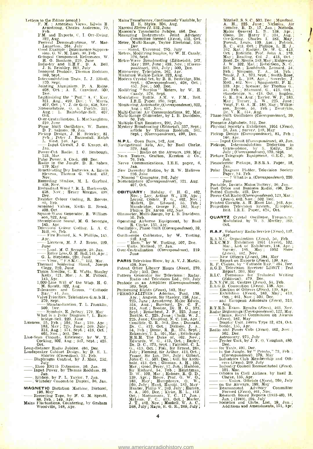- Letters to the Editor (contd.)<br>F. M. : American Views, Edwin H.<br>Armstrong, Charles Anderson, 79,
	- Armstrong, Charles Anderson, 79, Feb.<br>
	F.M. and Exports, C. I. Orr-Ewing, 322, Aug.<br>
	Festival Demonstrations, W. Mac-<br>
	Lanachan, 264, July<br>
	Good Example : Interiesence Suppres-<br>Good Example : Interference Suppres-<br>Sion, G.
	-
	- Grouped Component References, W. H. O. Banham, 219, June
	- Industry and E.H.F., D. A. Bell, J. R. Brinkley, 263, July Innocent Pentode, Thomas Roddam,
	- 369, Sept. Intermodnlation Tests, L. J. Elliott,
	-
	- Intermodulation Tests, L. J. Elliott,<br>370. Sept.<br>Jointing Aluminium. P. A. Raine,<br>408. Oct.; A. E. Crawford, 500,<br>Pec. 408, Oct. ; A. E. Crawford. 500, Dec. Legitimizing the " Puff." A. C. Kay, 321, Aug., 499, J. Aug. ; V. J. de Grijs, 458, Nov. Nomenclature, O. S. Puckle, 321, Aug.; L. Bainbridge-Bell, 407, []
	-
	-
	-
	- Over-Centralization, L. MacNaughton,<br>
	219, June<br>
	Phase Shift Oscillators, W. Bacon,<br>
	D. P. Salmon, 39, Jan.<br>
	Pickin Design, J. H. Brierley, 81,<br>
	Feb.; Peter J. Baxandall. Ralph<br>
	L. West, 146, Apr.<br>
	Jan.
	-
	-
	- Power-Cut Radio, I. G. Benbough,<br>123, Mar. .<br>Pulse Power, S. Cook, 499, Dec.<br>Radio in the Jungle, D. R. Saben, 1
	- 179. May Batteries, A. Edwin
	- Stevens, Thomas G. Ward, 457,<br>Nov.
	-
	- Recording Studios, M. L. Gayford,<br>
	458, Nov. ; Henry Morgan, 499,<br>
	Dec.<br>
	258, Nov. ; Henry Morgan, 499,<br>
	Dec.<br>
	269, Feb.<br>
	20, Feb.
	-
	- Screened Valves, Keith R. Brook,<br>Screened Valves, Keith R. Brook,<br>408, Oct.<br>Square-Wave Generator, R. William-<br>son, 322, Aug.
	-
	- Stereophonic Sound, M. G. Seroggie,<br>
	145, Apr. Colour Coding, L. A. C.<br>
	Television Colour Coding, L. A. C.<br>
	Hill, 80, Feb.<br>
	Fire Hazard, K. S. Phillips, 145,
	-
	- Apr. Licences, M. J. J. Brons, 220, June Load. M. G. Scroggie, 39, Jan.
	-
	- Reclaries, Ar. 3. Brons, 220,<br>
	168, G. Seroggie, 39, Jan.<br>
	G. L. Stephens, 220, June<br>
	-- Visor, '' F.S.M.C.," 122, Mar.<br>
	-- Visor, '' F.S.M.C.," 122, Mar.<br>
	Thermal Soldering Shunt, Joseph Clegg, 220, June
	-
	- Thorn Needles, C. E. Watts, Stanley Kelly, 121, Mar.; A. M. Pollock,
	-
	- 145, Apr. 1,000 -Line Will o' the Wisp, H. G. M. Spratt, 322, Aug. Tolerances and Errors, " Cathode I<br>M. Spratt, 322, Aug. Tolerances and Errors, " Cathode I<br>Valve Priorities, Telefunken G.m.b.H.,
	- Tair Spirac, 370, Sept. Standardization, T. L. Franklin, 370, Sept. 370, Sept. 370, Sept. 370, Sept. 370, Sept. 300, Dec., F. Le Jamma March 200, March 200, Dec., F. Le Jamma March 200, March 200, March 200, March 200, Mar
	- Symbols, E. Jeffery, 179, May What is a Polar Diagram ?, L. Bain bridge -Bell, 220, June
- 
- 
- Licences, 55, Feb.; 102, Mar.; 139. Apr.; 189. 38, May.; 225, June; 269. July; 313, Aug.; 374, Sept.; 413, Oct.; 402, Nov.; 503. Dec.<br>Line-Scan Circuits. Efficiency, by W. T.<br>Cocking, 302, Aug.; 347, Sept.; 425, Oct.<br>Oct.
- Long-distance Radio Jubilee, 486, Dec.<br>
Loudspeaker Cabinet Design, by D. E. L.<br>
Shorter (Correction), 53, Feb.
- Diaphragm Control, by J. Moir, 252, July -, Ekco ES115 Extension, 36, Jan. Input Power, by Thomas Roddam, 29, Jan.
- 
- Ribbon, by P. L. Taylor, 7, Jan. Whiteley Concentric Duplex, 36, Jan.
- MAGNETIC Dictation Machine, Dictorel, - 196, May Recording Tape, by H. G. M. Spratt, 196, May Tape, by H. G. M. Spratt, 88, Feb. ; 149, Apr. Mains Fluctuations, Countering, by Graham Woodville, 148, Apr.
- 
- 
- 
- -
- 
- 
- 
- 
- 
- Mains Transformer, Continuously Variable, by<br>
H. E. Styles, 306, Aug.<br>
H. E. Styles, 306, Aug.<br>
Marconi Electra II. 232, June<br>
Measuring Instanties Joint Advisory<br>
Measuring Instruments Joint Advisory<br>
Committee formed (*N*
- 
- Cazaly, 376, Sept. Modulation Battle. A.M. v. F.M., Brit.
- I.R.E. Paper, 350, Sept. Monitoring; Automatic, (Correspondence), 322, Aug. ; 457, Nov.
- Multi-Carrier Air Communications. 92, Mar.<br>
Multi-Range Olmmeter, by 1. B. Davidson,<br>
50, Feb.<br>
Multiple-Unit Resistors, 292, July<br>
Mystery Broadcasting (*Editorial*), 337, Sept.;<br>
article by Thomas Roddam. 341,<br>
Sept.; (
- 
- -
- N.P.L. Open Days, 142, Apr. Navigational Aids, Air, by Basil Clarke,
- sept., (Correspondence), 498, Dec.<br>
Nextigational Aids, Air, by Basil Clarke,<br>
329, Aug.<br>
Neven Testers, Grafton, Kerston & Co.,<br>
76, Feb.<br>
Nerve Communications, I.E.E. paper, 6,<br>
1990.<br>
Nerve Communications, I.E.E. paper,
- 
- -
- New Daventry Station, by R. W. Hallows<br>
" Nimrod " Computor, 292, July<br>
Nomenclature (*Correspondence*), 321, Aug.<br>
407, Oct.
- **OBITUARY:** Hobday, C. H. G., 462,<br>
Nov.; Lay, Atthur W., 139, Apr.;<br>
Loring, Condr. F. G., 442, Nov.;<br>
Mallett, Dr. Edward, 55, Feb.;<br>
Mansbridge, George F., 182, May;<br>
Philips Dr. Anton. 462, Nov.<br>
Ohmmeter, Multi-Range,
- 
- Operating Airborne Equipment, by Basil<br>
R. Clarke, 135, Apr.<br>
Oscillators, Phase Shift (Correspondence), 39, Jan.<br>
Jan. 2016
- 
- Oscilloscope Calibrator, by W. Tusting,<br>
310, Aug.<br>
 "Hum," by W. Tusting, 507, Dec.<br>
 Units, Mullard, 37, Jan.<br>
Over-Centralization (Correspondence), 219.
- 
- **June**
- **PARIS Television Show, by A. V. J. Martin, 459, Nov. 1.**<br>Patent Office Library Hours (News), 270, July ; 503, Dec.
- 
- Pattern Generator for Television : Radar, Radio and Television Ltd., 269, July Pentode as an Amplifier (Correspondence), F
- 
- 369, Sept. Franch (News), 183, May FR (News), 183, May FR (News), 183, May PERSONALITIES : Adorian, Paul, 138,  $\rightarrow$  225, June ; Armstrong. Major Edwin, 314, Aug.; Bareford, Dr. C. F., 314, Aug.; Beach, Holey, 191, C. F., 225, June ; Chapling, N. C. 138, Apr. ;<br>Condline, G. E., 503, Dec. ; Dannatt,<br>Dr. C., 413, Oct. ; Dickson, J. A., Feb. ; Dome, R. B. Techton, J. A., Eept. ;<br>Eckersley, T. L. 101, Mar. ; Edinburgh<br>H.R.H. The Duke of, 462. N  $\overline{G}_{11}$  413,  $\overline{O}$ ct.; Fisk, Sir Ernest, 268,<br>July, Fleming, Sir Arthur, 413, Oct.;<br>Fraser, Sir Ian, 268, July, Gilbert,<br>John C. 6., 503, Dec.; Gill, Sir Archi-<br>bald, 413, Oct.; Gimnan, A. H., 102,<br>Mar.; Good. Perc Oct. ; Macnamara, T. C., 17, Jan. ;<br>McLean, F. C., 413, Oct. ; Marler,<br>J. T., 462, Nov. ; Maskell, W. A. C., 263, July ; Mayo, R. G. E., 269, July ;

4

<www.americanradiohistory.com>

Mitchell, S. S. C., 503, Dec., Mumford,<br>A. H., 225, June 5, Nicholas, Air<br>Comdre, B. D., 17, Jan., Nichols, Air<br>Major General L. B. 138, Apr., 2016<br>Olson. Dr. Harry F., 314, Ang., 2016<br>Olson. Dr. Harry F., 314, Ang., 2017<br> 503, Dec.; Rushforth. Leonard. 54, Feb.; Finnson, T. A., 54, Feb.; Smile, J. A., 573, Sept.; Smith-Rose, Dr. R. L., 138, Apr.; Sowerby, J.<br>Dr. R. L., 138, Apr.; Sowerby, J.<br>Dr. R. L., 138, Apr.; Sowerby, J.<br>MeG., 462. Nov. May ; Turner, L. W., 225, June ; Voigt, P. G. A. H., 183, May ; Wilkin-<br>
son, Bruce, 54, Feb.; Zworykin, Dr. V. K., 314, Aug. Phase -Shift Oscillators (Correspondence), 39, Jan.

- 
- Phonetic Alphabets, 512, Dec.<br>
Physical Society's Exhibition, 1951 (News),<br>
16, Jan. ; Survey, 189, May<br>
Pickup Design (Correspondence), 81, Feb.;
- 146, Apr.<br>Input Circuit (Correspondence), 40, Jan.
- Pickups, Intermodulation Distortion in<br>
Gramophone, by S. Kelly, 256,<br>
July; (Correspondence), 370, Sept.<br>
Picture Telegraph Equipment. G.E.C., 36,<br>
Jan.
- 
- Piezoelectric Pickups, B.S.R.A. Paper, 18, Jan.
- Polar Diagram Plotter, Television Society<br>Paper, S4, Feb.<br>220, 220, Phat is a, (Correspondence), 220,
- 
- June<br>
Portable, Invicta Mains/Battery, 36. Jan.<br>
Post Office and Business Radio, 498, Dec.<br>
Power-Cut Radio (*Correspondence*),123, Mar. :<br>
Correspondence), 123, Mar. :<br>
(*News*), 462, Nov. : 502, Dec.
- 
- Printed Circuits. A. H. Hunt Ltd., 163, Apr. Projection Television System, E'lophor, Brit. I.R.E. Paper, 424. Oct.
- QUARTZ Crystal Oscillator, Frequen. 3y-<br>Modulated, by W. S. Mortley, 399, Oct.
- 
- **R.A.F.** Voluntary Radio Servico (News), 137,<br>
R.A.M.C. Organization (News), 54, Feb.<br>
R.E.C.M.F. Exhibition 1951 (News), 102,<br>
Mar., List of Exhibitors, 134, Apr.;<br>
Survey. 185, May ; 1952 Show<br>
Show **R.E.C.M.F.** Exhibition 1951 (*News*),  $102$ ,  $M.E. CM.F.$  Exhibition 1951 (*News*), 102,  $Mav$ , 134, Apr.;  $Sv$  Silvary, 185,  $May$ ; 1952 Show (*News*), 142, Nov.<br> $Nev$  Officers (*News*), 184,  $May$ <br> $\rightarrow$  New Officers (*News*), 1
- 
- 
- 
- R.I.C. Premiums for Technical Writing<br>  $(RN.V.(W.))R.$  (Reflection), 479, Dec.<br>
R.S.G.B. Convention (News), 139, Apr.<br>
Election of Officers (News), 139, Apr.<br>
 Exhibition (News), 183, May; 413,<br>
 Exhibition (News), 183, May

Aug.<br>R.T.E.B. Exam. Results (News), 463. Nov.<br>Radar Beginnings (Correspondence), 122, Mar.<br>—— Claims, Royal Commission on Awards **R.T.E.B.** Exam. Results (News), 463, Nov.<br>
Radar Beginnings (Correspondence), 122, Mar.<br>
- Claims, Royal Commission on Awards<br>
(News), 182, May<br>
- Display Unit, Decca Type 12, 424, Oct.<br>
Sonde, 155, Apr.<br>
Radio and Power

 $\frac{1}{\text{Display: Unit. Decca Type 12, 424, Oct.}$ <br>  $\frac{1}{\text{Sonde, 155, Apr.}}$ <br>
Radio and Power Cuts (*Neuss*), 462, Nov.;<br>  $\frac{502}{502}$ , Dec.<br>  $\frac{1}{\text{Astrom: Point, by J. F. O. Vaughan, 480}}$ <br>  $\frac{1}{\text{Dee}}$ <br>  $\frac{1}{\text{Dee}}$ <br>  $\frac{1}{\text{Dee}}$ <br>  $\frac{1}{\text{Dee}}$ <br>  $\frac{1}{\text{$ 

in the Jungle, by " Pronto," 73, Feb.;<br>
(Correspondence), 179, May<br>
Industries Club Membership and Offi-<br>
cers (News), 269, July<br>
101, Mar.<br>
Officers in Civil Airlines, by Basil R.<br>
Clarke, 135, Apr. (News), 260, July<br>
Cla

Clarke, 135, Apr. Union, Officials (News), 269, July on the Airways, 199, May<br>on the Airways, 199, May<br>Rearmament Advisory Committee<br>Formed (News), 461, Nov. Committee<br>Research Board Reports (1933-48), 18, - Jan. ; (1948), 1995, 2013<br>
- Hearmanned (News), 461, Nov.<br>
- Research Board Reports (1933-48), 18,<br>
- Societies and Clubs, List, 19, Jan. ;<br>
- Societies and Clubs, List, 19, Jan. ;<br>
Additions and Amendments, 151, Apr.

- 
- $\mathbb{R}.8.6.18$ . Convention (*News*), 338, Apr.<br>  $\mathbb{R}.8.6.18$ . Convention (*News*), 313, Apr.<br>  $\mathbb{R}.$  Election of Officers (*News*), 313, Apr.<br>  $\mathbb{R}.$  Exhibition (*News*), 313, Dec.<br>  $\mathbb{R}.$  Aug. 2010<br>  $\mathbb{R}.$  Aug.

 $\begin{array}{ll}\n\text{faato and prove cuts (see}\\
\hline\n & 502, \text{ Dec.}\\
\hline\n & \text{Peclet}\n\end{array} \n\text{U1}, \text{by J. F. O.}\\
\begin{array}{ll}\n\text{Decc.}\\
\hline\n & \text{Decc.}\\
\hline\n & \text{in the Jungle, by "Prol}\\
\hline\n & \text{L}(\text{Correspondence, J79}, \text{Prol}) \\
 & \text{L}(\text{Correspondence, J79}).\n\end{array}$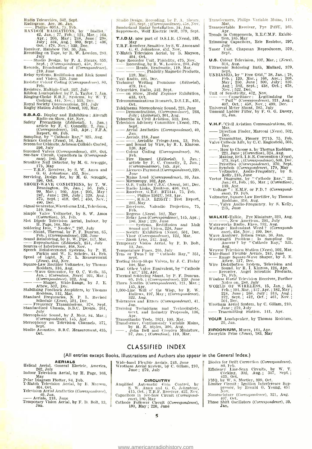- 
- Radio Telearchics, 342, Sept.<br>
Radio Telearchics, 342, Sept.<br>
RANDOM RADIATIONS, by "Diallist."<br>
RANDOM RADIATIONS, by "Diallist."<br>
42, Jan.; 77, Feb., 124, Mar.; 164,<br>
Apr.; 206, May; 248, June : 298,<br>
July; 334, Aug.; 38
	-
- 
- 
- 
- Recording on Tape, by R. W. Lowden, 283<br>
July 1918<br>
Studio Design. by P. A. Shears, 355<br>
Studio Design. by P. A. Shears, 355<br>
Records, Broadcasting of (Correspondence),<br>
219, June<br>
Relay Systems. Rediffusion and Link Sound

- Resistors, Multiple -Unit, 292, July Ribbon Loudspeaker, by P. L. Taylor, 7. Jan. Ringing Choke E.H.T. Systems, by W. T.<br>Cocking, 444, Nov.; 513, Dec.
- Royal Society Conversazione, 261, July Rugby Station Jubilee (News), 102, Mar.
- 
- 
- **S.B.A.C.** Display and Exhibition : Aircraft<br>
Radio on Show, 418, Nov.<br>
Radio on Show, 418, Nov.<br>
2. Jan.: article by F. C. Connelly, 2. Jan.: (Correspondence), 145, Apr.; F.P.A.<br>
ileport, 69, Feb. 45, Apr.; F.P.A.<br>
Sampl
- 
- Screen for Cabinets, Acheson Colloids Coated, 296, July<br>296, July Screened Valves (Correspondence), 408, Oct.
- 
- 
- See -Saw Circuit, Capacitors in (Correspond-<br>See -Saw Circuit, Capacitors in (Correspond-<br>Sensitive Null Detector, by M. G. Scroggie,<br> $-$  1.R.F. Receiver, by S. W. Amos and<br> $-$  R.F. Receiver, by S. W. Amos and<br> $-$  6. G. Jo
- Servicing, Design for, by M. G. Scroggie, 396, Oct.<br>
SHORT-WAVE CONDITIONS, by T. W.
	- Bennington, 26, Jan.; 56, Feb.; 99, Mar.; 160, Apr. ; 205, May ; 247, June ; 288, July ; 320, Aug. ; 375, Sept. ; 418, Oct. ; 450, Nov. ; 490, Dec.
	-
- 
- Signal Generator, Waveforms Ltd., Television,<br>
519, Dec.<br>
519, Dec.<br>
Valve Voltmeter, by S. W. Amos<br>
(Correction), 53, Feb.<br>
Slot Dipole Television Aerial, Indoor. by<br>  $\frac{11}{12}$ Page, 168, May<br>
Soldering Iron, "Neoflec,"

Sound - Reinforcing, by D. W. Pipe. 117, Mar. Reproduction (Editorial), 251, July Sources of Interference, 468, Nov.

- 
- 
- Speech Reinforcement Systems, by P. 11.<br>
Parkin and W. E. Scholes, 44. Feb. Translated of Light, N. P. L. Measurement<br>
(News), 462, Nov.<br>
Square-Law Rectifier Voltmeter, by Thomas<br>
Roudam, 316, Ang.<br>
Roudam, 316, Ang.<br>
Tha
- 
- 

Attew, 517, Dec.<br>Stabilizing Feedback Amplifiers, by Theory and the color of the Schedule (News), SO1, Dec.<br>Standard Frequencies, N. P. L. Reschedule (News), 501, Dec.<br>Frequencies, N. Standardized Chassis, B.B.C. Design.

- Frequency Transmissions, 378, Sept. Standardized Chassis, B.B.C. Design, 261, July Stereophonic Sound, by J. Moir, 84, Mar. ; (Correspondence), 145, Apr. Stereophony on Television Channels, 371, Sept. Studio Acoustics, B.B.C. Measurement, 435, Oct.
- 
- 

AERIALS<br>
Helical Aerial, General Electric, America,<br>
262, July<br>
Indoor Television Aerial, by H. Page, 168,<br>
Polar Diagram Plotter, S4, Feb.<br>
T-Match Television Aerial, by B. Mayson,<br>
404. Oct.

Talatch Television Aerial, by B. Mayson,<br>  $404.0ct.$ <br>
Television Aerial Aesthetics (Correspondence),<br>  $-$  Aerials, 218, June<br>
Temporary Vision Aerial, by F. D. Bolt, 13,<br>
Jan.

- Studio Design, Recording, by P. A. Shears, 355, Sept. ; (Correspondence), 458. Nov. Sunderland Radar Installation. 34, Jan. Suppressors, Wolf Electric Drill, 379, Sept.
- T.I.D.U. now part of D.S.I.R. (News), 183, May
- T.R.F. Receiver , Sensitive by S. W. Amos and G. G. Johnstone, 452, Nov.<br>T-Match Television Aerial, by B. Mayson,
- 104, Oct.<br>Tape Recorder Unit. Phidelity, 475, Nov.
- Recording, by R. W. Lowden, 283, July<br>
-- Heads, Bradmatic, 119, Mar. [19]<br>
-- Phidelity Magnetic Products,
	-
- 119, Mar. Taxi Radio, 491, Dec. Technical Writing Premiums (Editorial), 479, Dec. Taxi Radio, 491, Dec.<br>
Technical Writing Premiums (*Editorial*),<br>  $\frac{479}{100}$  Diec.<br>
Telearchies, Radio, 342, Sept.<br>
on Show, *Model Engineer* Exhibition,<br>
433, Oct.<br>
The 433, Oct.
- 
- Telecommunications Research, D.S.I.R., 431,  $\frac{433}{433}$ , Oct.<br>
Telecommunications Research, D.S.I.R., 431,<br>
Det,<br>
Dethema Stereophonic Sound, 223, June<br>
Demonstrations, (Correspondence), 264,<br>  $\frac{1}{101}$ ,  $\frac{1}{101}$ ,  $\frac{1}{101}$ ,  $\frac{1}{101}$ ,  $\frac{1}{101}$ ,  $\frac{1$
- Oct,<br>Telekīnema Stereophonic Sound, 223, June
- ----- Demonstrations, (Correspondence), 264,<br>July; (Editorial), 301, Aug.<br>Telescribe in Civil Aviation, 512, Dec.<br>Television Advisory Committee (News), 374,
- 
- Sept. Aerial Aesthetics (Correspondence), 40, Jan.
- Aerials, 218, June -, Aerialite Fringe -Area, 53, Feb. and Sound by Wire, by R. I. Kinross.
- $\frac{126}{126}$ , Apr. Colour Coding (Correspondence), 80,
- Fire Hazard (Editorial). 1. Jan. ;<br>Fire Hazard (Editorial). 1. Jan. ;<br>article by F. C. Connelly, 2, Jan. ;<br>Correspondence), 145, Apr.<br>Licences Payment (Correspondence), 220,<br>Jine <sub>1</sub>. Jine 1.
- June<br>Mains Load (Correspondence), 39, Jan. (Correspondence), 145, Apr.<br>
- Lieteuces Payment (Correspondence), 220,<br>
- Mains Load (Correspondence), 39, Jan.<br>
- Microscopy, 162, Apr.<br>
- O.B. Units for C.B.C. (News), 501, Dec.<br>
- Radio Links, Emitron, 406, Oct.<br>
- Rec
- 
- 
- 
- Hamp Einstein (4, E.C. BT5144, 75, Feb.<br>
Receiver, 4, E.C. BT5144, 75, Feb.<br>
R.G.D. 12351T: Test Report,<br>
203. May<br>
Receivers, Valradio Projection, 75,<br>
Feb. (Yuna) 133. May
- 
- 
- Regress (News), 182, May<br>
Relay Loss (Correspondence), 145, Apr. ;<br>
180. May ; 220, June<br>
Sound and Vision, 226, June<br>
Sound and Vision, 226, June<br>
Society Exhibition (News), 501, Dec. - Visor (Correspondence), 122, Mar. (Correspondence), 122, Mar. (Correspondence), 122, Mar. (The Visor (Correspondence), 122, Mar. (The Visor (Correspondence), 122, Mar. (The Visor (Correspondence), 122, Mar. (The properat
- 
- 
- 
- Sept. Testing Steep-Slope Valves, by J. C. Finlay
- That Other Valve Equivalent, by " Cathode<br>
Jay," 152, Apr.<br>
Thermal Soldering Shunt, by P. F. Duncan,<br>
65, Feb. ; (Correspondence), 220, June
- 
- Thorn Needles (Correspondence), 121, Mar. ;<br>1,000-Line Will o' the Wisp, by R. W.<br>1,000-Line Will o' the Wisp, by R. W.<br>1322, Aug. 197, May ; (Correspondence),<br>Tolerances and Errors (Correspondence), 41,
- 
- Jan. Training Technicians and Technologists, Govt. and Industry Proposals, 136,
- Apr. Transatlantic Tests, 1021, 100, Mar. Transformer, Continuously Variable Mains,
- Apr.<br>
Apr.<br>
Transathantic Tests, 1901, 100, Mar.<br>
Transformer, Continuously Variable Mains,<br>
by H. E. Styles, 306, Aug.<br>
(John Bell and Croyden Miniature, 37, Jan.; (Correction), 119, Mar.

CLASSIFIED INDEX (All entries except Books, Illustrations and Authors also appear in the General Index.)

Wide-band Flexible Aerials, 243, June<br>Wrotham Aerial System, by C. Gillam, 210,<br>June ; 279, July

CIRCUITRY<br>
S. W. Amos and G. G. Johnstone,<br>
S. W. Amos and G. G. Johnstone,<br>
415, Oct.; T.R.F. Receiver. 452, Nov.<br>
Capacitors in See-Saw Creuit (Correspondence),<br>
Particular Follower Circuit (Correspondence),<br>
180, May; 2

5

<www.americanradiohistory.com>

- Transformers, Philips Variable Mains, 119; Mar. Transportable Receiver, Pye P43U, 163,
- Apr.<br>Trends in Components, R.E.C.M.F. Exhibi-
- tion, 185, May Trimming Capacitors, Erie Resistor, 297,
- July Tuner Unit, Chapman Reproducers, 379, Sept.
- 
- U.S. Colour Television, 107, Mar.; (News), 314, Aug.<br>Ultrasonic Soldering Bath, Mullard, 379,<br>Sept.
- Sept. UNBIASED, by " Free Grid," 38, Jan. ; 78, Feb. ; 120, Mar. ' 166, Apr. ; 208, May ; 250, June ; 300, July ; 336. Aug. ; 382, Sept. ; 438, Oct. ; 478,
- Nov. ; 1229, Data, 1909, Data, 1909, Data, 1909, Data, 1909, Data, 1909, Data, 1909, Dec. in the Capacitance : Legitimizing the "Puff" (Correspondence), 321, Aug. ; 407, Oct. ; 458, Nov. ; 499, Dec.
- 
- 
- 
- Universal Meter Shunt, 285, July<br>
Unusual Ladder Filter, by F. G. G. Davey,<br>
31, Jan.<br>
V.H.F. "Civil Aviation Communications, 92,<br>
 Direction Finder, Marconi (*News*), 502,<br>
 Direction Finder, Marconi (*News*), 502,<br>
 R V.H.F. <sup>r</sup>Civil Aviation Communications, 92, Mar.  $-Direction$  Finder, Marconi (*News*), 502, Dec.
- Dec. Transmitter, Plessey PT15, 75, Feb. Valve Cathode Life, by C. C. Eaglesfield, 505,
- Dec. -, How to Choose a, by Thomas Roddam, 221, June ; (Correction), 324, Aug. Making, Brit. I.R.E. Convention (News), 373, Sept. ; (Correspondence), 500, Dec.
- 
- 
- 
- 
- 221, June ; (Correction), 324, Aug.<br>
221, June ; (Correction), 324, Aug.<br>
221, June ; (Correction), 324, Aug.<br>
733, Sept. ; (Correspondence), 500, Dec.<br>
Priorities (Correspondence), 370, Sept.<br>
Symbols (Correspondence), 17
- 
- 
- 

WALKIE-Talkie, Pye Miniature, 323, Aug.<br>------------- New American, 291, July<br>Watcrworks Radio, Ekeo, 332, Aug.<br>Wattage: Redundant Word? (Correspondence), 458, Nov.; 499, Dec.<br>Wave Analyser, Edison Swan, 36, Jan.<br>Wavelengt

- 
- 
- 
- 
- 
- Aug.<br>
Wenvoe Television Station (News), 102, Mar.<br>
Wide-Band Flexible Aerials, 243, June<br>
 Range Square-Wave Shaper, by J. E.<br>
Wire Distribution System, Television and<br>
Wire Distribution System, Television and - Sound, by J. B.<br>
- Range Square-Wave Shaper, by J. B.<br>
- Recorder. 517, Dec.<br>
Wire Distribution System, Television and<br>
- Sound, by R. J. Kinross, 126, Apr.<br>
-- Recorder. Angel Scientific Products,<br>
76, Feb. maled Scient

Wireless World Television Receiver, Further<br>
Xotss on. 2286. July<br>
WORLD OF WIRELESS, 15, Jan.; 54,<br>
Feb.; 101, Mar.; 137, Apr.; 182, May;<br>
224, June; 268, July; 313, Aug.;<br>
372, Sept.; 412, Oct.; 461, Nov.;<br>
501, Dec.

Wrotham Aerial System, by C. Gillam, 210,  $\begin{array}{rcl}\n & 274, & 9100, & 206, & 911, & 461, & 869,\n & 501, & 96. & 961, & 461, & 869,\n \end{array}$ <br>
Wrotham Aerial System, by C. Gillam, 210, June ; 279, July<br>
June ; 279, July<br>  $\begin{array}{rcl}\n\text{7} & \text{7} & \text{8} & \text{7} \\
\text{8} & \text{7} & \text{8} & \text{7}$ 

YOUR Loudspeaker. by Thomas Roddam, 29, Jan.

Diodes for Drift Correction (Correspondence).

80, Feb. Cocking, 302, Aug.; 347, Sept.; Cocking, 302, Aug.; 347, Sept.; 425, Oct.<br>425, Oct. 1100, by W. S. Mortley, 399, Oct.<br>
Limiter Circuit : Ignition Interference Sup-<br>
pressor, by Ronald G. Young, 451<br>Nov.

Nomenclature *(Correspondence*), 321, Aug.<br>407, Oct. Phase Shift Oscillators (Correspondence), 39,<br>Phase Shift Oscillators (Correspondence), 39,

ZIRCONIUM, Murex, 164, Apr. Zworykin Prize (News), 183, May

Jan.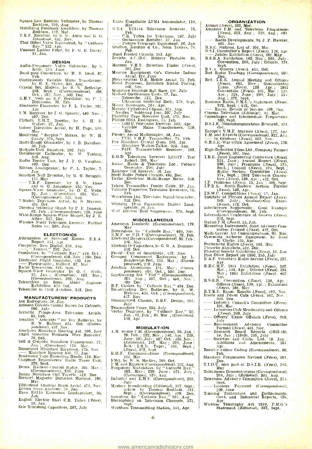Square Law Rectifier Voltmeter, by Thomas<br>Rectificial and 316, Aug.<br>Stabilistics and Theory of Theory of Theory of Theory of Theory of Theory of Theory of Theory of Theory of The

Stabilizing Feedback Amplifiers, by Thomas<br>W.D. Roddam, 112, Mar.

T.R.F. Receiver, by S. W. Amos and G. G. Johnstone, 452, Nov.<br>That Other Valve Equivalent, by " Cathode Ray," 152, Apr.<br>Ray," 152, Apr. Unusual Ladder Filter, by F. G. G. Davey, 31, Jan.

**DESIGN<br>
Audio Frequency Valve Voltmeter, by S.**<br> **R** Kelly, 215, June

Band-pass Converters, by H. B. Dent, 67,

Continuously Variable Mains Transformer,<br>
by H. E. Styles, 306, Aug.<br>
Crystal Set, Modern, by B. R. Bettridge,<br>
338, Sept.; (Correspondence), 408,<br>
P. R. T. Trom an R.F. Oscillator, by C. J.<br>
Dickinson, 70, Feb.

Electronic Fluxmeter, by P. L. Taylor, 161,<br>F.M. Receiver, by J. G. Spencer, 440, Nov. ;<br>m. 487, Dec.

Flyback E.H.T. Booster, by A. H. B. Walker, 27, Jan.

Indoor Television Aerial, by H. Page, 168,<br>Modifying " Surplus " Meters, by W. H.<br>Cazaly, 376, Sept.<br>Multi-Range Ohmmeter, by I. B. Davidson,<br> $\frac{50, \text{Feb}}{250}$ .

Multi-Range Ohmmeter, by I. B. Davidson,<br>Multiple-Unit Resistors, 292. July<br>Oscilloscope Calibrator, by W. Tusting,<br>310, Aug.<br>Radio Feeder Unit, by J. F. O. Vaughan,<br>480, Dec. Ribbon Loudspeaker, by P. L. Taylor, 7,<br>Jan. D

Sensitive Null Detector, by M. G. Scroggie,<br>
175. May<br>
T.H.F. Receiver, by S. W. Amos<br>
and G. G. Johnstone, 452, Nov.<br>
Square-Wave Generator, by O. C. Wells,<br>
Square-Wave Generator, by O. C. Wells,<br>
(Correspondence), 322,

- 
- Thermal Soldering Shunt, by P. F. Duncan, 65. Feb. ; (Correspondence), 220, June

Wide-Range Square -Wave Shaper, by J. E.<br>
Here Shaw, 517, Dec.<br>
Hereless World Television Receiver, Further Notes on, 286, July

**ELECTRONICS**<br> **ELECTRONICS**<br> **Report 151 Apr.**<br> **Report 151 Apr.**<br> **Computer**, New Digital, 333, Ang.<br>
Computers. by "Cattiode Ray," 419, Oct.;<br>
Computers. by "Cattiode Ray," 419, Oct.;<br> *Correspondence*), 438, Nov.; 499,

MANUFACTURERS' PRODUCTS<br>
Ace Radiogram, 36, Jan.<br>
296, July<br>
Acrialite Fringe-Area Television Aerials.<br>
296, July<br>
Aerialite Fringe-Area Television Aerials.

Amplion " Activette " for Dry Batteries, by R. W. Hallows, 434, Oct. (Corres-<br>pondence), 457, Nov.

Amplivox Miniature Hearing Aid, 296, July Angel Scientific Products Wire Recorder,

Figure Frontiet Transformer, 37,<br>
76, Feb.<br>
10. 10, Correction), 119, Mar.<br>
20. Jan.; (Correction), 119, Mar.<br>
20. Miniature Earphone, 475, Nov.<br>
20. Miniature Hearing Aid, 37, Jan.<br>
20. Hadmatic Tape-Recording Heads, 119.

Decover magnetic Dictation Machine, 196, Bddystone Amateur Beam Aerial, 475, Nov.<br>Eddystone Amateur Beam Aerial, 475, Nov.<br>Edison Swan Analyser, 36, Jan.<br>Ekco ES115 Extension Loudspeaker, 36,<br>Jan.

English Electric Steel C.R. Tubes (News), Erie Trimming Capacitors, 297, July

- 
- 

Exide Unspillable LPM4 Accumulator, 119,<br>
(C.E.C. BT5144 Television Receiver, 75,<br>
C.E.C. BT5144 Television Receiver, 75,<br>
C.R. Tubes for Television, 297, July<br>
C.R. Tubes for Television, 297, July<br>
C-Ratton, Kerston & Co

Hunt Printed Circuits, 163. Apr.<br>
Invicta A.C./D.C. Battery Portable. 36,<br>
Jan. Jan.<br>
Marconi V.H.F. Direction Finder (News),<br>
502, Dec.

Marconi V.H.F. Direction Finder (News), 502, Dec.<br>
Maurice Equipment Co's Circular Indoor Aerial, 218, June<br>
Merryweather O.B. Mobile Aerial, 75, Feb.<br>
Metal Processes, Imitation Nickel Plating, 460, Nov.<br>
160, Nov.

Miniature Bearings Ball Race, 296, July Mollard Oscilloscope Units, 37, Jan.

Telescribe, 512, Dec.<br>
Wurex Zirconium, 164, Apr.<br>
Murphy Cylindrical Chassis, 324, Aug.<br>
Murphy Cylindrical Chassis, 324, Aug.<br>
" Neofiex " Soldering Iron, 297, July<br>
Phidelity Tape Recorder Unit. 475, Nov.

Philips 603A Radiogram, 75, Feb. 1502 U Television Receiver, 163, Apr. Variable Mains Transformers, 119, Mar.

Plessey Aerial Multicoupler, 36, Jan.<br>
PT15 V.H.F. Transmitter, 75, Feb.

Pye Miniature Crystal Oven, 163, Apr. Miniature Walkie-Talkie, 323, Aug. P43U Transportable Receiver, 163, Apr. Report. 203, May Radar. Report. 203, May Radar. Radio & Television Ltd., Pattern

Generator, 296, July Rainbow 750 Receiver, 36, Jan.

Scott Bader Potted Circuits, 493, Dec.<br>Taylor Electrical Multi-Range Meter, 519,<br>Dec.

Telcon Transmitter Feeder Cable, 37, Jan. Valradio Projection Television Receivers, 75, Feb.

Waveforms Ltd. Television Signal Generator,

519, Dec. Whiteley 1.2 -in Concentric Duplex Loud-speaker, 36, Jan. Wolf Electric Drill Suppressors. 379, Sept.

MISCELLANEOUS<br>American Insularity (Correspondence), 179, American Insularity (*Correspondence*), 179, May<br>Dimensions, by " Cathode Ray," 469, Nov.

E.M.F. or P.D.? (Correspondence), 79, Feb. Electrical Dangers (Correspondence), 80, Feb.; 180, Feb.; 180, W. A. Dummer.

510, Dec. Ferrié -Unit of Sensitivity, 472, Nov.<br>510, Dec. Ferrié -Unit of Sensitivity, 472, Nov.<br>Grouped Component References

Grouped Component References, by L.<br>Bainbridge-Bell, 115, Mar. ; (Corres-<br>pondence), 219, June

Jointing Aluminium, 181, May; (Corres-<br>pondence), 408, Oct. 500, Dec.

Legitimizing the " Puff " (Correspondence), 321, Aug. ; 407, Oct. ; 4 $\frac{1}{40}$ , Nov. ; 499. Dec. Re-activating Dry Batteries, by R. W. Hallows, 434, Oct. ; (Correspondence),  $457$ , Nov.

Standardized Chassis, B.B.C. Design, 201, July Temperature Fuses, 295, July Vector Diagrams, by " Cathode Ray," 22, Jan. ; 61, Feb. ; 95, Mar. ; (Correction), 139, Apr.

MODULATION<br>
1.M. Versus F.M. (Correspondence), 39, Jan.;<br>
79, Feb. ; 122, Mar.; 146, Apr.; 220,<br>
June; 263, July; 407. Oct.; 458, Nov.;<br>
(Editorials), 167, Mar.; 299, June;<br>
(Editorials), 167, Mar.; 299, June;<br>
E.H.F. Com

Mystery Broadcasting (Editorial), 337, Sept.;<br>
article by Thomas Roddam, 341,<br>
Sept.: (Correspondence), 499, Dec.<br>
Sampling, by "Cathode Ray," 325, Aug.<br>
Stereophony on Television Channels, 371,<br>
Wrotham Transmitting Stat

<www.americanradiohistory.com>

ORGANIZATION<br>
Airmet (News), 102, Mar.<br>
Amateur F.M. and Television Frequencies (News), 313, Aug. ; 319, Aug. ; 461, Nov. -- Radio Developments, by J. P. Hawker, 465, Nov. B.B.C. Stations, List of, 104, Mar.

B.B.C. Report (News), 138, Apr. Jubilee Exhibition (News), 138, Apr. Jubilee Exhibition (News), 132, May B.S.R.A. Exhibition, 182, May ; 265, July ; Convention, 260, July ; Officers, 374, Sept. B.V.A. Officers (News), 413,

Bad Radio Teaching (Correspondence), 500,<br>Dec. Brit. I.R.E. Annual Meeting and Officers (News), 461, Nov.; Graduateship<br>Exam. (News), 139, Apr.; 1951

Convention (News), 101, Mar. ; 138,<br>Apr. ; 224, June ; 268, July ; 314,<br>Aug. ; 372, Sept.<br>Business Radio, P.M.G.'s Statement (News). 372, Sept. ; 412, Oct. .<br>Radio, Details of Service, 498, Dec. . . . .

Cinema Television (Editorial), 83, Mar.<br>Copenhagen and Intermediate Frequencies.<br>D.S.I.R. Telecommunications Research, 431.<br>D.S.I.R. Telecommunications Research, 431.

D.S.I.R. Telecommunications Research, 421,<br>
Oct.<br>
Curope's V.H.F. Stations (News), 137, Apr.<br>
F.M. and Exports (Correspondence), 322, Ana.<br>
F.M. and Exports (Correspondence), 322, Ana.<br>
G.R.S.E. War Office Agreement (News)

(News), 502, Dec.<br>
1.E.E. Joint Engineering Conference (News),<br>
224, June ; Amnual Report (News),<br>
269, July ; Premiums (News), 373,<br>
Sept. ; Council (News), 374, Sept. ;<br>
Radio Section Committee (News).<br>  $374$ , Sept. ; 1

tion (News), 138, Apr. ; 412, Oct.<br>I.F. Problems (News), 15, Jan. ; 360, Sept. I.P.R.E. North-Eastern Section Formed

(News), 139, Apr. I.S.W.C. Competitions (News), 17, Jan. Institute of Physics Annual Report (News). 269, July ; Graduatcship Exam. Interference Suppression : Good Example (Correspondence), 80, Feb.

Measuring Instruments, Joint Advisory Com-<br>
inter Formed (News). 412, Oct.<br>
Multi-Carrier Air Communications, 92, Mar.<br>
Operating Airborne Equipment, by Basil<br>
Reforming Rights (News), 183, May<br>
Performing Rights (News),

R.S.G.B. Convention (News), 138, Apr. ; Officers (News), 139, Apr. ; Exhibition (News), 183, May R.T.E.B. Exam. Results (News), 463, Nov.

Radio and Power Cuts (News), 462, Nov. ;<br>  $502$ . Dec.<br>
Industry Council's Committee (News),<br>  $101$ , Mar.<br>
Industries Club Membership and Officers<br>  $-$  Officers' Union Officials (News), 269,

- July Rearmament Advisory Committee

Research Board Reports (1933-48), 18, Jan. ; (1949), 295, July Societies and Clubs, List, 19, Jan. ; Additions and Amendments, 151, Apr. Resistor Colour Coding (Correspondence), 80, Feb.

Standard Frequencies Revised (News), 501,<br>
Feb.<br>
Standard Frequencies Revised (News), 183,<br>
T.I.D.U. now part of D.S.I.R. (News), 183,<br>
Telekinema Demonstrations (Correspondence),<br>
264, July ; (Editorial), 301, Aug.<br>
Sept.

Sept. Sept. Payment (Correspondence), 220, June - Training Technicians and Technologists, Govt. and Industrial Reports, 136,

Apr. Wireless Telegraphy Act 1949, P.M.G.'s Statement (Editorial), 337, Sept.

- Formed (News), 461, Nov.

International Conference at Geneva (News), 372, Sept.<br>Italian F.M. (News), 15, Jan.

R. B. ; Volume,  $\overline{APL}$ <br>
R. E.C.M. F. 1951 Exhibition (News), 102, Mar. ; 134. Apr. ; Officers (News), 462, Nov. Nov. Nov. 2010<br>
May ; 1952 Exhibition (News), 462,<br>
R. S. G. B. Convention (News), 138. Apr. ;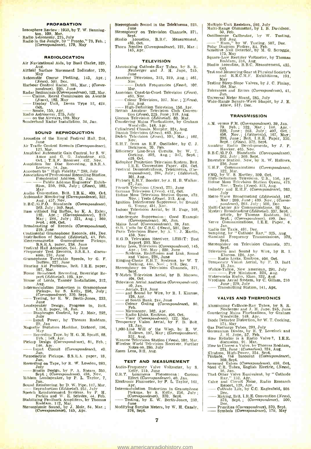## PROPAGATION

Ionosphere Review : 1950, by T. W. Benning-<br>ton, 109, Mar.<br>Radio Astronomy, 275, July<br>Radio in the Jungle, by " Pronto," 73, Feb. ;<br>(Correspondence), 179, May

## **RADIOLOCATION**

Air Navigational Aids, by Basil Clarke, 329, Aug.<br>Aug.<br>Airfield Surface Movement Indicator, 170,<br>May

- 
- May May Course Plotting, 143, Apr. ;<br>Automatic Course Plotting, 143, Apr. ;<br>Harbour Control Radar, 105, Mar. ; (Corres-<br>pondence), 220, June Rachar Correspondence), 120, Mar.; (Correspondence), 122, Mar.<br>
Radar Beginnings (Correspondence), 122, Mar.<br>
Claims, Royal Commission on Awards<br>
Claims, Royal Commission on Awards
- 
- method of the position of the position of the Redinings (Correspondence), 122, Mar.<br>
Radar Beglinings (Correspondence), 122, Mar.<br>
Claims, Royal Commission on Awards<br>
(News), 182, May<br>
Display Unit, Decca Type 12, 424,<br>
Oc Oct. -- Sonde, 155, Apr. Radio - Astronomy, 275, July on the Airways, 199, May Sunderland Radar installation, 34, Jan.
	-

- **SOUND REPRODUCTION**<br>Acoustics of the Royal Festival Hall, 244 Acoustics of the Royal Festival Hall, 244,<br>June June Control Records (Correspondence),<br>123, Mar. 123, Mar.
- 
- 
- 

- Amplified Automatic Gain Control, by S. W.<br>
Amos and G. G. Johnstone. 415,<br>
Oct.; T.R.F. Receiver. 452. Nov.<br>
Amplifiers for Disc Recording, B.S.R.A.<br>
Lecture. 14, Jan.<br>
Approach to "High Fidelity," 289, July<br>
Association
- May May Audio Convention, Brit. I.R.E., 409, Oct.
- 
- H.B.C. (61, P.O. Standards (Correspondence),<br>  $2(6, 19, 0.6)$ . Standards (Correspondence),<br>
18as without Big Baffles, by K. A. Exley,<br>
182, Apr.; (Correspondence), 219,<br>
May; 264, July; 321, Aug.; 369,<br>
Sept.; 408, Oct.<br>

Continental Grainophone Records, 484, Dec.<br>
Distribution of Sound (Editorial), 43, Feb.<br>
Electromagnetic Gramophone Fickups,<br>
B.S.R.A. paper, 238, June<br>
Frequency Test Records, 244, June<br>
Frequency Test Records, B.S.R.A. d

- 
- 
- 
- port (Editorial), 125. Apr.<br>House of Lords, Tannoy Installation, 312, Aug.
- 
- Aug. Intermodulation Distortion in Gramophone<br>Pickups, by S. Kelly, 256, July ;<br>(Correspondence). 370, Sept.<br>Testing, by E. W. Berth-Jones, 233,

Loudspeaker Design, Progress in, Brit.<br>
- Diaphragm Control, by J. Moir, 252,<br>
- July Power, by Thomas Roddam,<br>
- Input Power, by Thomas Roddam,

- July Power, by Thomas Roddam,<br>29, Jan Magnetic Dictation Machine, Dictorel, 196,
- May Becording Tape, by H. G. M. Spratt, 88,
- 
- Feb. : 149, Apr.<br>Pickup Design (Correspondence), 81, Feb. ;<br>146, Apr.
- Input Circuit (Correspondence), 40, Jan.
- Piezoelectric Pickups, B.S.R.A. paper, 18, Jan.<br>Recording on Tape, by R. W. Lowden, 283,
- Recording on Tape, by R. W. Lowden, 283, July --- Studio Design, by P. A. Shears. 355, Nov. 7, Sept. ; (Correspondence), 458, Nov. 7, Sept. ; (Correspondence), 458, Nov. 7,
- Sept. ; (Correspondence), 458, Nov.<br>
Inn. Jan., and Republication Development of the production (Edilorial), 251, 31<br>
The Reproduction (Edilorial), 251, 31<br>
Speech Reinforcement Systems, by P. H.<br>
Speech Reinforcement Syst
- 
- 

- Stereophonic Sound in the Telekinema, 223. June<br>Stereophony on Television Channels, 371,
- Stereophony on Television Channels, 371,<br>
Studio Acoustics, B.R.C. Measurement,<br>
435, Oct.<br>
Thorn Needles (Correspondence), 121, Mar. ;<br>
145, Apr.
- 
- 

## **TELEVISION**

- Aluminizing Cathode-Ray Tubes. by S. R.<br>Neuberger and J. H. Jupe, 245,<br>June
- Amateur Television, 313. 319, Aug. ; 461, Neuberger and J. H. Jupe, 245,<br>June Television, 313, 319, Aug.; 461,<br>our Television, 313, 319, Aug.; 461,<br>Nav.<br>Mar.
- 
- American Coast-to-Coast Television (News),<br>461, Nov. - Dutch Frequencies (News), 102,<br>
Mar.<br>
American Coast-to-Coast Television (News),<br>
461, Nov.<br>
- Colour Television, 107, Mar.; ((News),<br>
314, Aug.
- 314, Aug. High- Definition Television. 156, Apr. British Amateur Television Club Conven-
- 
- tion (News), 225, June 319. Aug.<br>Cinema Television (Editorial), 83. Mar.<br>Countering Mains Fluctuations, by Graham<br>Woodville, 148, Apr.<br>Cylindrical Chassis, Murphy, 324, Aug.<br>Danish Television (News), 463, Nov.
- 
- 
- 
- 
- Dutch Television (*News*), 101, Mar.:, 462,<br>
E.H.T. from an R.F. Oscillator, by C. J.<br>
Dickinson 70, Feb.<br>
Efficiency Line-Scan Circuits, by W. T.<br>
Cocking. 302, Aug.: 347, Sept.;<br>
425. Oct.<br>
Edophor Projection Television
- 
- 
- 
- 
- 
- Nov. Tests (News), 313, Aug.<br>Ignition Interference Suppressor, by Ronald G. Young, 451, Nov.<br>Indoor Television Aerial, by H. Page, 168,
- 
- May Interference Suppression : Good Example (Correspondence), 80, Jan.
- Mains Load *(Correspondence*), 39, Jan.<br>0.13. Units for C.R.C. (News), 501, Dec.<br>Paris Television Show, by A. V. J. Martin, 459, Nov.
	-
- 
- R.G.D. Television Receiver, 1.2351T: Test<br>
Relay Loss, Television (Correspondence), 145,<br>
Apr. ; 180. May ; 220, June<br>
Apr. ; 180. May ; 220, June<br>
Systems, Rediffnsion and Link, Sound<br>
and Vision, 226, June
- 
- and Vision, 226, June<br>
Ringing-Choke E.H.T. Systems, by W. T.<br>
Cocking, 444, Nov.; 513, Dec.<br>
Stereophony on Television Channels, 371,<br>
T-Match Television Aerial, by B. Mayson,<br>
Television Aerial, by B. Mayson,<br>
404, Oct.<br>
- 
- 40, Jan.<br>Aerials, 218. June
- and Sound by Wire, by R. I. Kinross,
- 120, Apr. 120, Apr. 120, Apr. 120, Apr. 120, Apr. 120, Apr. 120, Apr. 120, Apr. 120, Apr. 120, Apr. 120, Apr. 120, Apr. 120, Apr. 120, Apr. 120, Apr. 120, Apr. 120, Apr. 120, Apr. 120, Apr. 120, Apr. 120, Apr. 120, Apr. 12 126, Apr.<br>126, Apr.<br>126, Apr.<br>1200 Feb.<br>1200 Feb.<br>1200 Microscopy - At South Bank, 244, June<br>
- Colour Coding (Correspondence), 80,<br>
- Microscopy, 162, Apr.<br>
- Radio Links, Emitron, 406, Oct.<br>
- Visor (Correspondence), 122, Mar,<br>
13, Jan.<br>
13, Jan.
- 
- 
- 
- 1,000 Line Will o' the Wisp. by R. W.<br>Hallows, 197, May; (Correspondence).
- 322. Aug. Station (News), 102, Mar. Wenvoe Television Station (News), 102, Mar. Fireless World Television Receiver, Further  $\frac{1}{100}$ <br>Zoom Lens, 312, Aug.

## TEST AND MEASUREMENT

- 
- Audio- Frequency Valve Voltmeter, by S.<br>
K.R.T. Luminous Phenomena : Curious<br>
C.R.T. Luminous Phenomena : Curious<br>
... Effect (Correspondence). 40. Jan.
- 
- Electronic Fluxmeter, 161, Apr. Intermodulation Distortion in Gramophone Pickups, by S. Kelly, 256, July;  $(Correspondence)$ , 370, Sept. Testing, by E. W. Berth-Jones, 233,
- Modifying Surplus Meters, by W. H. Cazaly, 376, Sept.

<www.americanradiohistory.com>

- Multiple-Unit Resistors, 292. July<br>Multi-Range Ohmmeter, by I. B. Davidson,<br>50. Feb.
- 
- 50, Feb. (Scillbrator, by W. Tusting, 310. Aug. 310. Aug. 310. Aug. 310. Aug. 310. Aug. 507, Dec. Polar Diagram Plotter, 84, Feb. (Paparter, by M. G. Scroggie, 175, May Rectifier Voltmeter, by Thomas Square-Law Rectifier V
- 
- Roddam, 316, Aug.<br>Studio Acoustics, B.B.C. Measurement, 435,
- Test and Measuring Gear at Physical Society's and It.E.C.M.F. Exhibitions, 191,

Testing Steep-Slope Valves, by J. C. Finlay, 108, Mar.<br>Telerances and Errors (Correspondence), 41, Tolerances and Errors (Correspondence), 41, Jan. Universal Meter Shunt, 285. July<br>Wide-Range Square-Wave Shaper, by J. E.<br>Attew, 517. Dec.

**TRANSMISSION** 

A.M. versus F.M. (Correspondence), 39, Jan.<br>
79, Feb. ; 122, Mar. ; 146, Apr. ;<br>
220, June ; 263. July ; 407, May ;<br>
458, Nov. ; (Editorials), 167, May ;<br>
209, June ; Brit. I.R.E. Paper, 350.

Sept.: (Neige). 372, Sept.<br>
Manteur Radio Developments, by J. P.<br>
Hawker, 465. Nov.<br>
B.B.C./G.P.O. Standards (Correspondence),<br>
263. July 369. Sept.<br>
Daventry Station, New, by R. W. Hallows,<br>
236. July 369. Sept.<br>
E.H.F. C

Nov. : Tests (News), 313, Aug.<br>
Industry and E.H.F. (Correspondence), 263,<br>
July Metre-Wave Broadcasting (Editorials), 167,

May : 209, June ; 439. Nov. ; (Corres-<br>pondence), 263, July ; 500, Dec.<br>Multi-Carrier Air Communications, 92, Mar.

Mystery Broadcasting (Editorial), 337, Sept. ;<br>article, by Thomas Roddam, 341,<br>Sept. ; (Correspondence), 499, Dec.<br>Nerve Communications, I.E.E. Paper, 6,<br>Radio for Taxis, 491, Dec.<br>Sampling, by "Cathode Ray," 325, Aug.<br>Sta

Television and Sound by Wire, by R.<br>--- Radio Links, Emitron, 406, Oct.<br>--- Radio Links, Emitron, 406, Oct.

VALVES AND THERMIONICS

Tadio Links, Emitron, 406, Oct.<br>
Temporary Vision Aerial, by F. D. Bolt<br>
Temporary Vision Aerial, by F. D. Bolt<br>
Walkie-Talkie, New American, 291, July<br>
Waterworks Radio, Ekco, 332, Aug.<br>
Waterworks Radio, Ekco, 332, Aug.<br>

Aluminizing Cathode -Ray Tubes, by S. R. Neuberger and J. IL Jupe, 245, June Countering Mains Fluctuations, by Graham Woodville. 148, Apr.<br>Diode Detector Distortion, by W. T. Cocking,

Gas Discharge Tubes, 293, July<br>Germanium Diodes, by R. T. Lovelock and<br>J. H. Jupe, 57. Feb.<br>How Reliable is a Radio Valve ?, I.E.E.<br>How Reliable is a Radio Valve ?, I.E.E.<br>Movie Choose a Valve by Thomas Roddam,<br>221, June :

That Other Valve Equivalent, by " Cathode Ray," 152. Apr. Valve anti Circuit Noise, Radio Research Report, 129, Apr. - Cathode Life, by C.C. Eaglesfield, <sup>505</sup> Vaive and Urcuit Noise, Radio Research<br>
Report, 129, Apr.<br>
Cathode Life, by C.C. Eaglesfield, 505<br>
Dec.<br>
Making, Brit. I.R.E. Convention (News),<br>
373, Sept.; (Correspondence), 500, 373, Sept. ; (Correspondence), 500,

Priorities (Correspondence), 50<br>Dec.<br>- Priorities (Correspondence), 370, Sept.<br>- Symbols (Correspondence), 179, May

Dec.<br>
Making, Bri<br>
373, Sep<br>
Dec.<br>
Priorities ((<br>
Symbols (C